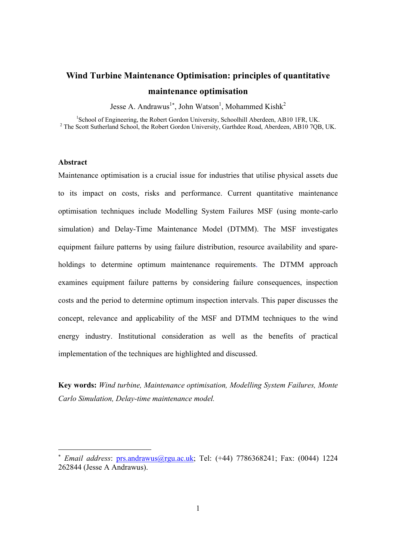# **Wind Turbine Maintenance Optimisation: principles of quantitative maintenance optimisation**

Jesse A. Andrawus<sup>1\*</sup>, John Watson<sup>1</sup>, Mohammed Kishk<sup>2</sup>

<sup>1</sup>School of Engineering, the Robert Gordon University, Schoolhill Aberdeen, AB10 1FR, UK.<br><sup>2</sup> The Seett Sutherland School, the Robert Gordon University, Gorthdee Reed, Aberdeen, AB10 7OB <sup>2</sup> The Scott Sutherland School, the Robert Gordon University, Garthdee Road, Aberdeen, AB10 7QB, UK.

#### **Abstract**

Maintenance optimisation is a crucial issue for industries that utilise physical assets due to its impact on costs, risks and performance. Current quantitative maintenance optimisation techniques include Modelling System Failures MSF (using monte-carlo simulation) and Delay-Time Maintenance Model (DTMM). The MSF investigates equipment failure patterns by using failure distribution, resource availability and spareholdings to determine optimum maintenance requirements. The DTMM approach examines equipment failure patterns by considering failure consequences, inspection costs and the period to determine optimum inspection intervals. This paper discusses the concept, relevance and applicability of the MSF and DTMM techniques to the wind energy industry. Institutional consideration as well as the benefits of practical implementation of the techniques are highlighted and discussed.

**Key words:** *Wind turbine, Maintenance optimisation, Modelling System Failures, Monte Carlo Simulation, Delay-time maintenance model.* 

<sup>∗</sup> *Email address*: prs.andrawus@rgu.ac.uk; Tel: (+44) 7786368241; Fax: (0044) 1224 262844 (Jesse A Andrawus).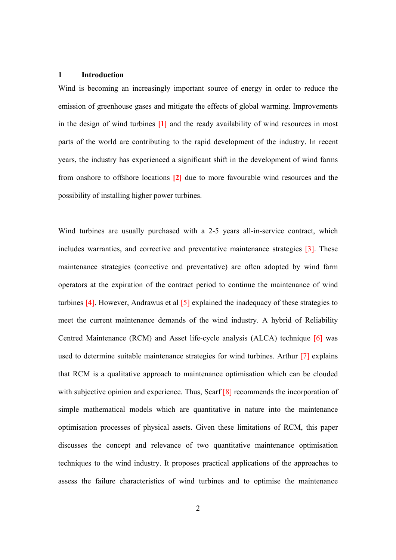#### **1 Introduction**

Wind is becoming an increasingly important source of energy in order to reduce the emission of greenhouse gases and mitigate the effects of global warming. Improvements in the design of wind turbines **[1]** and the ready availability of wind resources in most parts of the world are contributing to the rapid development of the industry. In recent years, the industry has experienced a significant shift in the development of wind farms from onshore to offshore locations **[2]** due to more favourable wind resources and the possibility of installing higher power turbines.

Wind turbines are usually purchased with a 2-5 years all-in-service contract, which includes warranties, and corrective and preventative maintenance strategies [3]. These maintenance strategies (corrective and preventative) are often adopted by wind farm operators at the expiration of the contract period to continue the maintenance of wind turbines [4]. However, Andrawus et al [5] explained the inadequacy of these strategies to meet the current maintenance demands of the wind industry. A hybrid of Reliability Centred Maintenance (RCM) and Asset life-cycle analysis (ALCA) technique [6] was used to determine suitable maintenance strategies for wind turbines. Arthur [7] explains that RCM is a qualitative approach to maintenance optimisation which can be clouded with subjective opinion and experience. Thus, Scarf [8] recommends the incorporation of simple mathematical models which are quantitative in nature into the maintenance optimisation processes of physical assets. Given these limitations of RCM, this paper discusses the concept and relevance of two quantitative maintenance optimisation techniques to the wind industry. It proposes practical applications of the approaches to assess the failure characteristics of wind turbines and to optimise the maintenance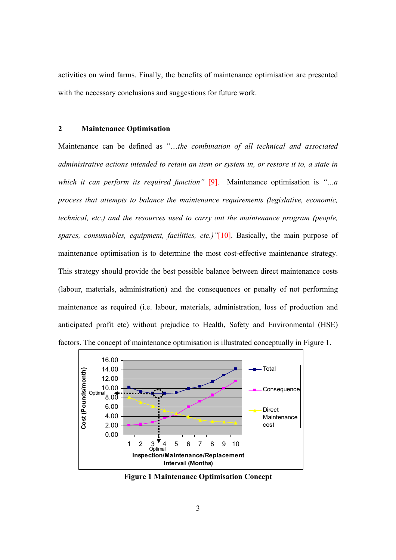activities on wind farms. Finally, the benefits of maintenance optimisation are presented with the necessary conclusions and suggestions for future work.

# **2 Maintenance Optimisation**

Maintenance can be defined as "…*the combination of all technical and associated administrative actions intended to retain an item or system in, or restore it to, a state in which it can perform its required function"* [9]. Maintenance optimisation is *"…a process that attempts to balance the maintenance requirements (legislative, economic, technical, etc.) and the resources used to carry out the maintenance program (people, spares, consumables, equipment, facilities, etc.)"*[10]. Basically, the main purpose of maintenance optimisation is to determine the most cost-effective maintenance strategy. This strategy should provide the best possible balance between direct maintenance costs (labour, materials, administration) and the consequences or penalty of not performing maintenance as required (i.e. labour, materials, administration, loss of production and anticipated profit etc) without prejudice to Health, Safety and Environmental (HSE) factors. The concept of maintenance optimisation is illustrated conceptually in Figure 1.



**Figure 1 Maintenance Optimisation Concept**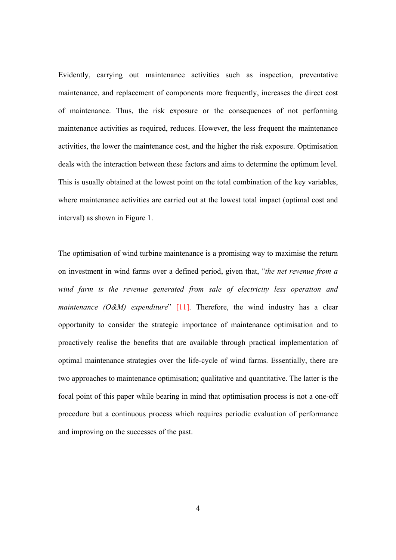Evidently, carrying out maintenance activities such as inspection, preventative maintenance, and replacement of components more frequently, increases the direct cost of maintenance. Thus, the risk exposure or the consequences of not performing maintenance activities as required, reduces. However, the less frequent the maintenance activities, the lower the maintenance cost, and the higher the risk exposure. Optimisation deals with the interaction between these factors and aims to determine the optimum level. This is usually obtained at the lowest point on the total combination of the key variables, where maintenance activities are carried out at the lowest total impact (optimal cost and interval) as shown in Figure 1.

The optimisation of wind turbine maintenance is a promising way to maximise the return on investment in wind farms over a defined period, given that, "*the net revenue from a wind farm is the revenue generated from sale of electricity less operation and maintenance (O&M) expenditure*" [11]. Therefore, the wind industry has a clear opportunity to consider the strategic importance of maintenance optimisation and to proactively realise the benefits that are available through practical implementation of optimal maintenance strategies over the life-cycle of wind farms. Essentially, there are two approaches to maintenance optimisation; qualitative and quantitative. The latter is the focal point of this paper while bearing in mind that optimisation process is not a one-off procedure but a continuous process which requires periodic evaluation of performance and improving on the successes of the past.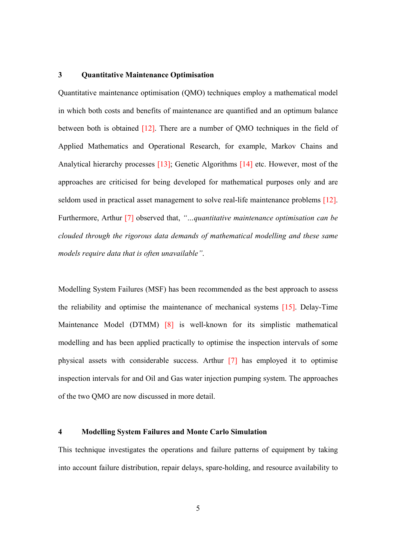#### **3 Quantitative Maintenance Optimisation**

Quantitative maintenance optimisation (QMO) techniques employ a mathematical model in which both costs and benefits of maintenance are quantified and an optimum balance between both is obtained [12]. There are a number of QMO techniques in the field of Applied Mathematics and Operational Research, for example, Markov Chains and Analytical hierarchy processes [13]; Genetic Algorithms [14] etc. However, most of the approaches are criticised for being developed for mathematical purposes only and are seldom used in practical asset management to solve real-life maintenance problems [12]. Furthermore, Arthur [7] observed that, *"…quantitative maintenance optimisation can be clouded through the rigorous data demands of mathematical modelling and these same models require data that is often unavailable"*.

Modelling System Failures (MSF) has been recommended as the best approach to assess the reliability and optimise the maintenance of mechanical systems [15]. Delay-Time Maintenance Model (DTMM) [8] is well-known for its simplistic mathematical modelling and has been applied practically to optimise the inspection intervals of some physical assets with considerable success. Arthur [7] has employed it to optimise inspection intervals for and Oil and Gas water injection pumping system. The approaches of the two QMO are now discussed in more detail.

#### **4 Modelling System Failures and Monte Carlo Simulation**

This technique investigates the operations and failure patterns of equipment by taking into account failure distribution, repair delays, spare-holding, and resource availability to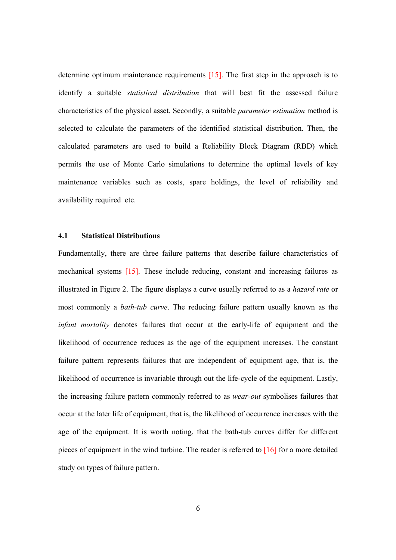determine optimum maintenance requirements [15]. The first step in the approach is to identify a suitable *statistical distribution* that will best fit the assessed failure characteristics of the physical asset. Secondly, a suitable *parameter estimation* method is selected to calculate the parameters of the identified statistical distribution. Then, the calculated parameters are used to build a Reliability Block Diagram (RBD) which permits the use of Monte Carlo simulations to determine the optimal levels of key maintenance variables such as costs, spare holdings, the level of reliability and availability required etc.

### **4.1 Statistical Distributions**

Fundamentally, there are three failure patterns that describe failure characteristics of mechanical systems [15]. These include reducing, constant and increasing failures as illustrated in Figure 2. The figure displays a curve usually referred to as a *hazard rate* or most commonly a *bath-tub curve*. The reducing failure pattern usually known as the *infant mortality* denotes failures that occur at the early-life of equipment and the likelihood of occurrence reduces as the age of the equipment increases. The constant failure pattern represents failures that are independent of equipment age, that is, the likelihood of occurrence is invariable through out the life-cycle of the equipment. Lastly, the increasing failure pattern commonly referred to as *wear-out* symbolises failures that occur at the later life of equipment, that is, the likelihood of occurrence increases with the age of the equipment. It is worth noting, that the bath-tub curves differ for different pieces of equipment in the wind turbine. The reader is referred to [16] for a more detailed study on types of failure pattern.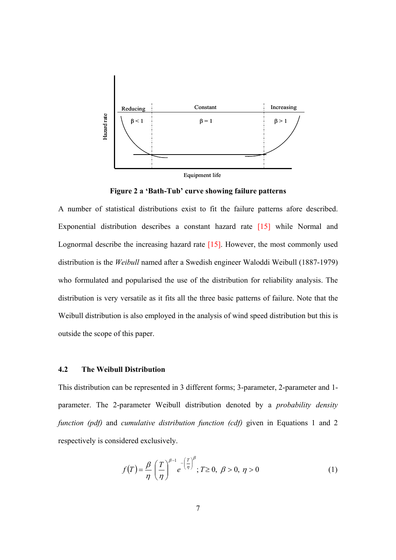

**Figure 2 a 'Bath-Tub' curve showing failure patterns** 

A number of statistical distributions exist to fit the failure patterns afore described. Exponential distribution describes a constant hazard rate [15] while Normal and Lognormal describe the increasing hazard rate [15]. However, the most commonly used distribution is the *Weibull* named after a Swedish engineer Waloddi Weibull (1887-1979) who formulated and popularised the use of the distribution for reliability analysis. The distribution is very versatile as it fits all the three basic patterns of failure. Note that the Weibull distribution is also employed in the analysis of wind speed distribution but this is outside the scope of this paper.

# **4.2 The Weibull Distribution**

This distribution can be represented in 3 different forms; 3-parameter, 2-parameter and 1 parameter. The 2-parameter Weibull distribution denoted by a *probability density function (pdf)* and *cumulative distribution function (cdf)* given in Equations 1 and 2 respectively is considered exclusively.

$$
f(T) = \frac{\beta}{\eta} \left(\frac{T}{\eta}\right)^{\beta - 1} e^{-\left(\frac{T}{\eta}\right)^{\beta}}; T \ge 0, \ \beta > 0, \ \eta > 0
$$
 (1)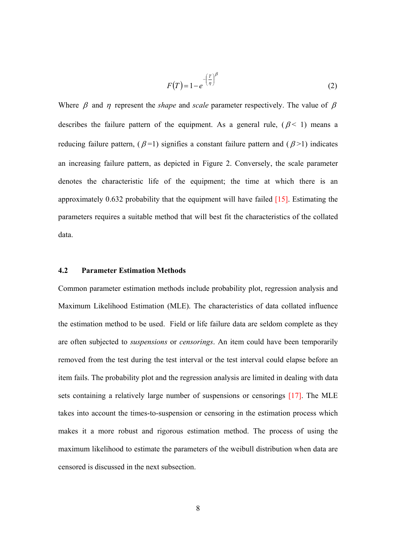$$
F(T) = 1 - e^{-\left(\frac{T}{\eta}\right)^{\beta}}
$$
 (2)

Where  $\beta$  and  $\eta$  represent the *shape* and *scale* parameter respectively. The value of  $\beta$ describes the failure pattern of the equipment. As a general rule,  $(\beta < 1)$  means a reducing failure pattern,  $(\beta = 1)$  signifies a constant failure pattern and  $(\beta > 1)$  indicates an increasing failure pattern, as depicted in Figure 2. Conversely, the scale parameter denotes the characteristic life of the equipment; the time at which there is an approximately  $0.632$  probability that the equipment will have failed  $[15]$ . Estimating the parameters requires a suitable method that will best fit the characteristics of the collated data.

## **4.2 Parameter Estimation Methods**

Common parameter estimation methods include probability plot, regression analysis and Maximum Likelihood Estimation (MLE). The characteristics of data collated influence the estimation method to be used. Field or life failure data are seldom complete as they are often subjected to *suspensions* or *censorings*. An item could have been temporarily removed from the test during the test interval or the test interval could elapse before an item fails. The probability plot and the regression analysis are limited in dealing with data sets containing a relatively large number of suspensions or censorings [17]. The MLE takes into account the times-to-suspension or censoring in the estimation process which makes it a more robust and rigorous estimation method. The process of using the maximum likelihood to estimate the parameters of the weibull distribution when data are censored is discussed in the next subsection.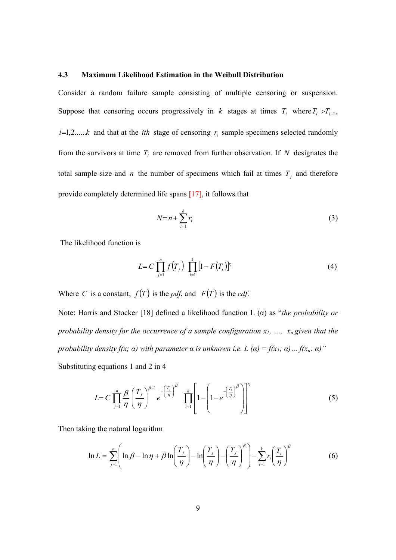#### **4.3 Maximum Likelihood Estimation in the Weibull Distribution**

Consider a random failure sample consisting of multiple censoring or suspension. Suppose that censoring occurs progressively in *k* stages at times  $T_i$  where  $T_i > T_{i-1}$ ,  $i=1,2,....k$  and that at the *ith* stage of censoring  $r_i$  sample specimens selected randomly from the survivors at time  $T_i$  are removed from further observation. If N designates the total sample size and *n* the number of specimens which fail at times  $T_j$  and therefore provide completely determined life spans [17], it follows that

$$
N=n+\sum_{i=1}^{k}r_i\tag{3}
$$

The likelihood function is

$$
L = C \prod_{j=1}^{n} f(T_j) \prod_{i=1}^{k} [1 - F(T_i)]^{r_i}
$$
 (4)

Where *C* is a constant,  $f(T)$  is the *pdf*, and  $F(T)$  is the *cdf*.

Note: Harris and Stocker [18] defined a likelihood function L (α) as "*the probability or probability density for the occurrence of a sample configuration*  $x_1$ , ...,  $x_n$  given that the *probability density f(x;*  $\alpha$ *) with parameter*  $\alpha$  *is unknown i.e. L*  $(\alpha) = f(x_1; \alpha) ... f(x_n; \alpha)$ *"* Substituting equations 1 and 2 in 4

$$
L = C \prod_{j=1}^{n} \frac{\beta}{\eta} \left(\frac{T_j}{\eta}\right)^{\beta-1} e^{-\left(\frac{T_j}{\eta}\right)^{\beta}} \prod_{i=1}^{k} \left[1 - \left(1 - e^{-\left(\frac{T_i}{\eta}\right)^{\beta}}\right)\right]^{r_i}
$$
(5)

Then taking the natural logarithm

$$
\ln L = \sum_{j=1}^{n} \left( \ln \beta - \ln \eta + \beta \ln \left( \frac{T_j}{\eta} \right) - \ln \left( \frac{T_j}{\eta} \right) - \left( \frac{T_j}{\eta} \right)^{\beta} \right) - \sum_{i=1}^{k} r_i \left( \frac{T_i}{\eta} \right)^{\beta} \tag{6}
$$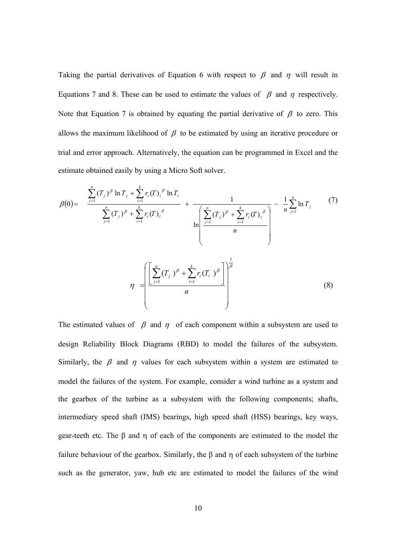Taking the partial derivatives of Equation 6 with respect to  $\beta$  and  $\eta$  will result in Equations 7 and 8. These can be used to estimate the values of  $\beta$  and  $\eta$  respectively. Note that Equation 7 is obtained by equating the partial derivative of  $\beta$  to zero. This allows the maximum likelihood of  $\beta$  to be estimated by using an iterative procedure or trial and error approach. Alternatively, the equation can be programmed in Excel and the estimate obtained easily by using a Micro Soft solver.

$$
\beta(0) = \frac{\sum_{j=1}^{n} (T_j)^{\beta} \ln T_j + \sum_{i=1}^{k} r_i (T)_i^{\beta} \ln T_i}{\sum_{j=1}^{n} (T_j)^{\beta} + \sum_{i=1}^{k} r_i (T)_i^{\beta}} + \frac{1}{\ln \left( \frac{\sum_{j=1}^{n} (T_j)^{\beta} + \sum_{i=1}^{k} r_i (T)_i^{\beta}}{n} \right)} - \frac{1}{n} \sum_{j=1}^{n} \ln T_j \tag{7}
$$
\n
$$
\eta = \left( \frac{\sum_{j=1}^{n} (T_j)^{\beta} + \sum_{i=1}^{k} r_i (T_i)^{\beta}}{n} \right)^{\frac{1}{\beta}}
$$
\n(8)

The estimated values of  $\beta$  and  $\eta$  of each component within a subsystem are used to design Reliability Block Diagrams (RBD) to model the failures of the subsystem. Similarly, the  $\beta$  and  $\eta$  values for each subsystem within a system are estimated to model the failures of the system. For example, consider a wind turbine as a system and the gearbox of the turbine as a subsystem with the following components; shafts, intermediary speed shaft (IMS) bearings, high speed shaft (HSS) bearings, key ways, gear-teeth etc. The β and η of each of the components are estimated to the model the failure behaviour of the gearbox. Similarly, the β and η of each subsystem of the turbine such as the generator, yaw, hub etc are estimated to model the failures of the wind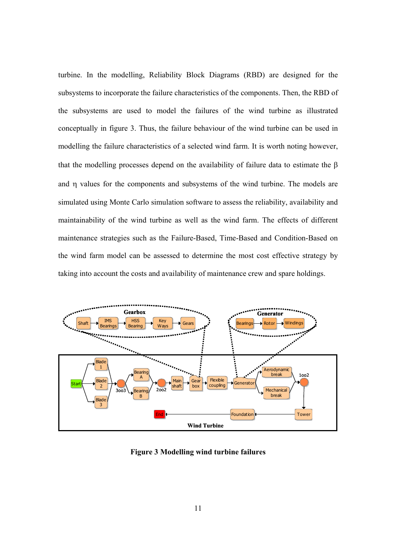turbine. In the modelling, Reliability Block Diagrams (RBD) are designed for the subsystems to incorporate the failure characteristics of the components. Then, the RBD of the subsystems are used to model the failures of the wind turbine as illustrated conceptually in figure 3. Thus, the failure behaviour of the wind turbine can be used in modelling the failure characteristics of a selected wind farm. It is worth noting however, that the modelling processes depend on the availability of failure data to estimate the β and η values for the components and subsystems of the wind turbine. The models are simulated using Monte Carlo simulation software to assess the reliability, availability and maintainability of the wind turbine as well as the wind farm. The effects of different maintenance strategies such as the Failure-Based, Time-Based and Condition-Based on the wind farm model can be assessed to determine the most cost effective strategy by taking into account the costs and availability of maintenance crew and spare holdings.



**Figure 3 Modelling wind turbine failures**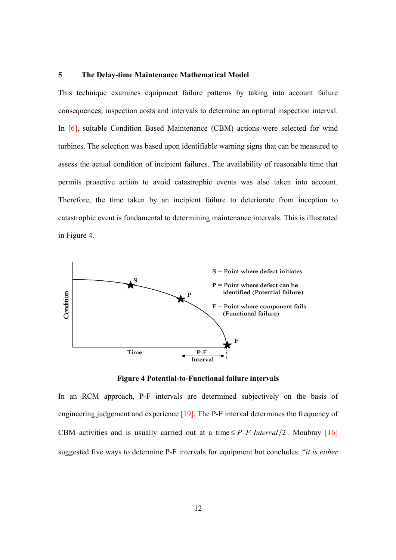#### **5 The Delay-time Maintenance Mathematical Model**

This technique examines equipment failure patterns by taking into account failure consequences, inspection costs and intervals to determine an optimal inspection interval. In [6], suitable Condition Based Maintenance (CBM) actions were selected for wind turbines. The selection was based upon identifiable warning signs that can be measured to assess the actual condition of incipient failures. The availability of reasonable time that permits proactive action to avoid catastrophic events was also taken into account. Therefore, the time taken by an incipient failure to deteriorate from inception to catastrophic event is fundamental to determining maintenance intervals. This is illustrated in Figure 4.



**Figure 4 Potential-to-Functional failure intervals** 

In an RCM approach, P-F intervals are determined subjectively on the basis of engineering judgement and experience [19]. The P-F interval determines the frequency of CBM activities and is usually carried out at a time  $\leq P$ −*F Interval* /2. Moubray [16] suggested five ways to determine P-F intervals for equipment but concludes: "*it is either*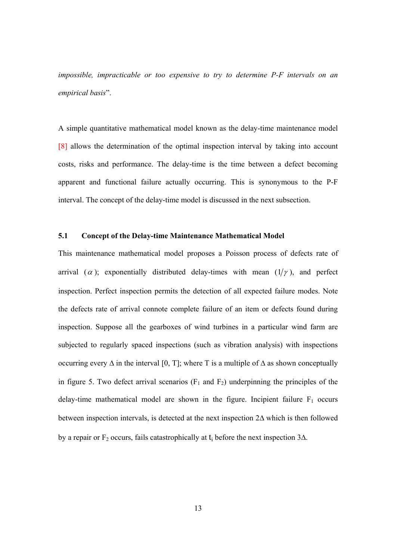*impossible, impracticable or too expensive to try to determine P-F intervals on an empirical basis*".

A simple quantitative mathematical model known as the delay-time maintenance model [8] allows the determination of the optimal inspection interval by taking into account costs, risks and performance. The delay-time is the time between a defect becoming apparent and functional failure actually occurring. This is synonymous to the P-F interval. The concept of the delay-time model is discussed in the next subsection.

## **5.1 Concept of the Delay-time Maintenance Mathematical Model**

This maintenance mathematical model proposes a Poisson process of defects rate of arrival ( $\alpha$ ); exponentially distributed delay-times with mean ( $1/\gamma$ ), and perfect inspection. Perfect inspection permits the detection of all expected failure modes. Note the defects rate of arrival connote complete failure of an item or defects found during inspection. Suppose all the gearboxes of wind turbines in a particular wind farm are subjected to regularly spaced inspections (such as vibration analysis) with inspections occurring every  $\Delta$  in the interval [0, T]; where T is a multiple of  $\Delta$  as shown conceptually in figure 5. Two defect arrival scenarios  $(F_1$  and  $F_2)$  underpinning the principles of the delay-time mathematical model are shown in the figure. Incipient failure  $F_1$  occurs between inspection intervals, is detected at the next inspection 2∆ which is then followed by a repair or  $F_2$  occurs, fails catastrophically at t<sub>i</sub> before the next inspection 3 $\Delta$ .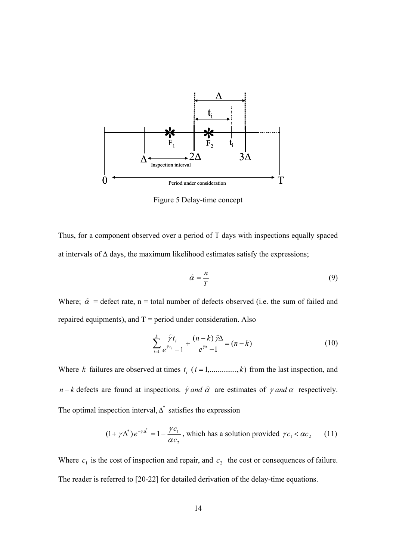

Figure 5 Delay-time concept

Thus, for a component observed over a period of T days with inspections equally spaced at intervals of ∆ days, the maximum likelihood estimates satisfy the expressions;

$$
\hat{\alpha} = \frac{n}{T} \tag{9}
$$

Where;  $\hat{\alpha}$  = defect rate, n = total number of defects observed (i.e. the sum of failed and repaired equipments), and  $T = period$  under consideration. Also

$$
\sum_{i=1}^{k} \frac{\hat{\gamma} t_i}{e^{\hat{\gamma} t_i} - 1} + \frac{(n-k)\hat{\gamma} \Delta}{e^{\hat{\gamma} \Delta} - 1} = (n-k) \tag{10}
$$

Where *k* failures are observed at times  $t_i$  ( $i = 1, \ldots, k$ ) from the last inspection, and *n* − *k* defects are found at inspections.  $\hat{\gamma}$  *and*  $\hat{\alpha}$  are estimates of  $\gamma$  *and*  $\alpha$  respectively. The optimal inspection interval,  $\Delta^*$  satisfies the expression

$$
(1 + \gamma \Delta^*)e^{-\gamma \Delta^*} = 1 - \frac{\gamma c_1}{\alpha c_2}
$$
, which has a solution provided  $\gamma c_1 < \alpha c_2$  (11)

Where  $c_1$  is the cost of inspection and repair, and  $c_2$  the cost or consequences of failure. The reader is referred to [20-22] for detailed derivation of the delay-time equations.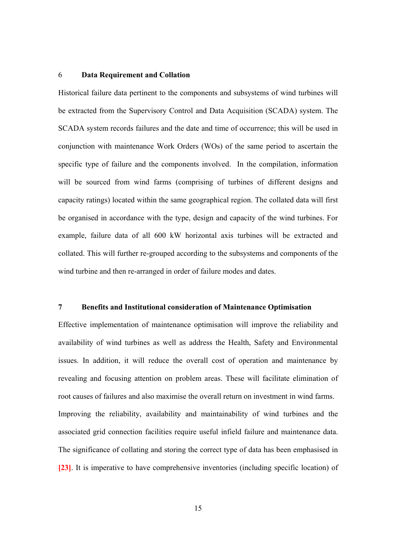#### 6 **Data Requirement and Collation**

Historical failure data pertinent to the components and subsystems of wind turbines will be extracted from the Supervisory Control and Data Acquisition (SCADA) system. The SCADA system records failures and the date and time of occurrence; this will be used in conjunction with maintenance Work Orders (WOs) of the same period to ascertain the specific type of failure and the components involved. In the compilation, information will be sourced from wind farms (comprising of turbines of different designs and capacity ratings) located within the same geographical region. The collated data will first be organised in accordance with the type, design and capacity of the wind turbines. For example, failure data of all 600 kW horizontal axis turbines will be extracted and collated. This will further re-grouped according to the subsystems and components of the wind turbine and then re-arranged in order of failure modes and dates.

### **7 Benefits and Institutional consideration of Maintenance Optimisation**

Effective implementation of maintenance optimisation will improve the reliability and availability of wind turbines as well as address the Health, Safety and Environmental issues. In addition, it will reduce the overall cost of operation and maintenance by revealing and focusing attention on problem areas. These will facilitate elimination of root causes of failures and also maximise the overall return on investment in wind farms. Improving the reliability, availability and maintainability of wind turbines and the associated grid connection facilities require useful infield failure and maintenance data. The significance of collating and storing the correct type of data has been emphasised in **[23]**. It is imperative to have comprehensive inventories (including specific location) of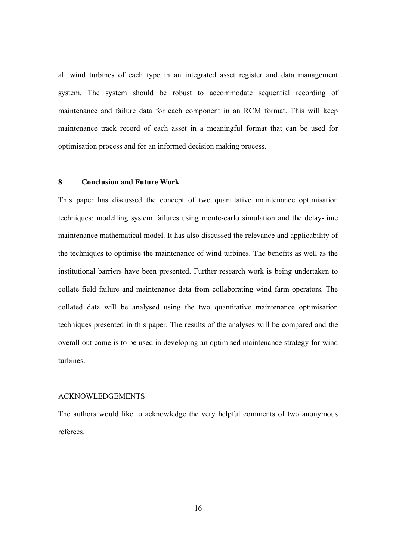all wind turbines of each type in an integrated asset register and data management system. The system should be robust to accommodate sequential recording of maintenance and failure data for each component in an RCM format. This will keep maintenance track record of each asset in a meaningful format that can be used for optimisation process and for an informed decision making process.

## **8 Conclusion and Future Work**

This paper has discussed the concept of two quantitative maintenance optimisation techniques; modelling system failures using monte-carlo simulation and the delay-time maintenance mathematical model. It has also discussed the relevance and applicability of the techniques to optimise the maintenance of wind turbines. The benefits as well as the institutional barriers have been presented. Further research work is being undertaken to collate field failure and maintenance data from collaborating wind farm operators. The collated data will be analysed using the two quantitative maintenance optimisation techniques presented in this paper. The results of the analyses will be compared and the overall out come is to be used in developing an optimised maintenance strategy for wind turbines.

# ACKNOWLEDGEMENTS

The authors would like to acknowledge the very helpful comments of two anonymous referees.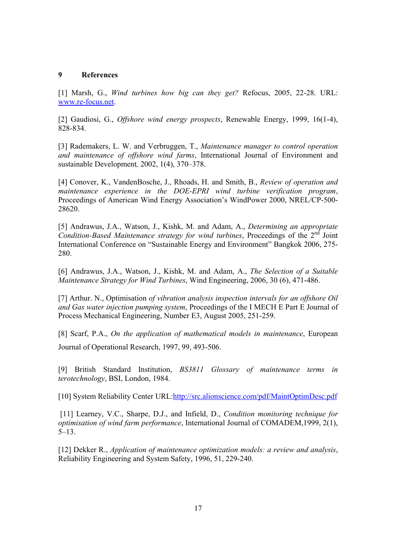## **9 References**

[1] Marsh, G., *Wind turbines how big can they get?* Refocus, 2005, 22-28. URL: www.re-focus.net.

[2] Gaudiosi, G., *Offshore wind energy prospects*, Renewable Energy, 1999, 16(1-4), 828-834.

[3] Rademakers, L. W. and Verbruggen, T., *Maintenance manager to control operation and maintenance of offshore wind farms*, International Journal of Environment and sustainable Development*,* 2002, 1(4), 370–378.

[4] Conover, K., VandenBosche, J., Rhoads, H. and Smith, B., *Review of operation and maintenance experience in the DOE-EPRI wind turbine verification program*, Proceedings of American Wind Energy Association's WindPower 2000, NREL/CP-500- 28620.

[5] Andrawus, J.A., Watson, J., Kishk, M. and Adam, A., *Determining an appropriate Condition-Based Maintenance strategy for wind turbines*, Proceedings of the 2<sup>nd</sup> Joint International Conference on "Sustainable Energy and Environment" Bangkok 2006, 275- 280.

[6] Andrawus, J.A., Watson, J., Kishk, M. and Adam, A., *The Selection of a Suitable Maintenance Strategy for Wind Turbines*, Wind Engineering, 2006, 30 (6), 471-486.

[7] Arthur. N., Optimisation *of vibration analysis inspection intervals for an offshore Oil and Gas water injection pumping system*, Proceedings of the I MECH E Part E Journal of Process Mechanical Engineering, Number E3, August 2005, 251-259.

[8] Scarf, P.A., *On the application of mathematical models in maintenance*, European Journal of Operational Research, 1997, 99, 493-506.

[9] British Standard Institution, *BS3811 Glossary of maintenance terms in terotechnology*, BSI, London, 1984.

[10] System Reliability Center URL:http://src.alionscience.com/pdf/MaintOptimDesc.pdf

 [11] Learney, V.C., Sharpe, D.J., and Infield, D., *Condition monitoring technique for optimisation of wind farm performance*, International Journal of COMADEM,1999, 2(1), 5–13.

[12] Dekker R., *Application of maintenance optimization models: a review and analysis*, Reliability Engineering and System Safety, 1996, 51, 229-240.